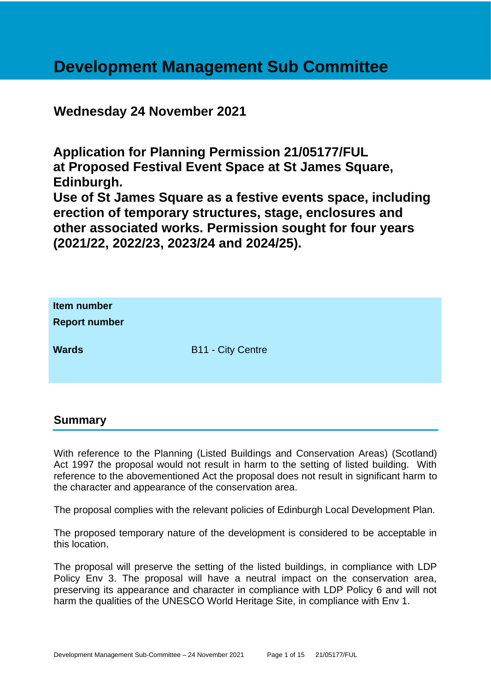# **Development Management Sub Committee**

# **Wednesday 24 November 2021**

**Application for Planning Permission 21/05177/FUL at Proposed Festival Event Space at St James Square, Edinburgh.**

**Use of St James Square as a festive events space, including erection of temporary structures, stage, enclosures and other associated works. Permission sought for four years (2021/22, 2022/23, 2023/24 and 2024/25).**

| Item number<br><b>Report number</b> |                          |
|-------------------------------------|--------------------------|
| <b>Wards</b>                        | <b>B11 - City Centre</b> |

#### **Summary**

With reference to the Planning (Listed Buildings and Conservation Areas) (Scotland) Act 1997 the proposal would not result in harm to the setting of listed building. With reference to the abovementioned Act the proposal does not result in significant harm to the character and appearance of the conservation area.

The proposal complies with the relevant policies of Edinburgh Local Development Plan.

The proposed temporary nature of the development is considered to be acceptable in this location.

The proposal will preserve the setting of the listed buildings, in compliance with LDP Policy Env 3. The proposal will have a neutral impact on the conservation area, preserving its appearance and character in compliance with LDP Policy 6 and will not harm the qualities of the UNESCO World Heritage Site, in compliance with Env 1.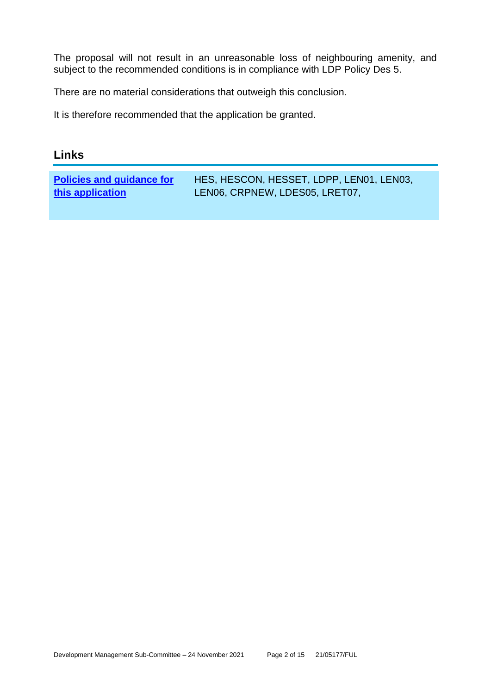The proposal will not result in an unreasonable loss of neighbouring amenity, and subject to the recommended conditions is in compliance with LDP Policy Des 5.

There are no material considerations that outweigh this conclusion.

It is therefore recommended that the application be granted.

## **Links**

| <b>Policies and guidance for</b> | HES, HESCON, HESSET, LDPP, LEN01, LEN03, |
|----------------------------------|------------------------------------------|
| this application                 | LEN06, CRPNEW, LDES05, LRET07,           |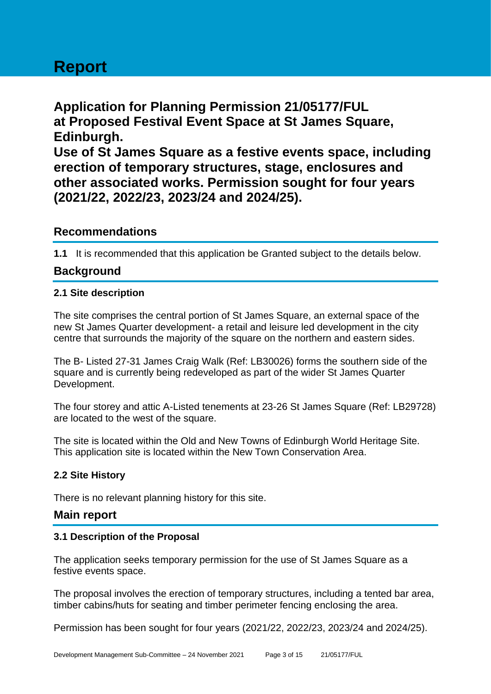# **Report**

**Application for Planning Permission 21/05177/FUL at Proposed Festival Event Space at St James Square, Edinburgh. Use of St James Square as a festive events space, including** 

**erection of temporary structures, stage, enclosures and other associated works. Permission sought for four years (2021/22, 2022/23, 2023/24 and 2024/25).**

#### **Recommendations**

**1.1** It is recommended that this application be Granted subject to the details below.

# **Background**

#### **2.1 Site description**

The site comprises the central portion of St James Square, an external space of the new St James Quarter development- a retail and leisure led development in the city centre that surrounds the majority of the square on the northern and eastern sides.

The B- Listed 27-31 James Craig Walk (Ref: LB30026) forms the southern side of the square and is currently being redeveloped as part of the wider St James Quarter Development.

The four storey and attic A-Listed tenements at 23-26 St James Square (Ref: LB29728) are located to the west of the square.

The site is located within the Old and New Towns of Edinburgh World Heritage Site. This application site is located within the New Town Conservation Area.

#### **2.2 Site History**

There is no relevant planning history for this site.

### **Main report**

#### **3.1 Description of the Proposal**

The application seeks temporary permission for the use of St James Square as a festive events space.

The proposal involves the erection of temporary structures, including a tented bar area, timber cabins/huts for seating and timber perimeter fencing enclosing the area.

Permission has been sought for four years (2021/22, 2022/23, 2023/24 and 2024/25).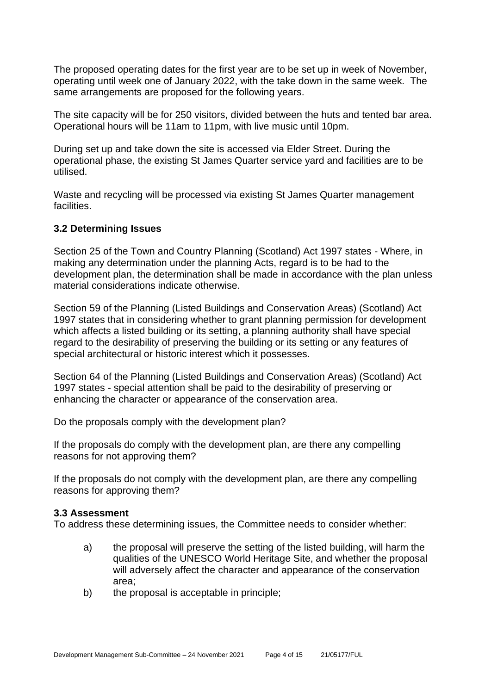The proposed operating dates for the first year are to be set up in week of November, operating until week one of January 2022, with the take down in the same week. The same arrangements are proposed for the following years.

The site capacity will be for 250 visitors, divided between the huts and tented bar area. Operational hours will be 11am to 11pm, with live music until 10pm.

During set up and take down the site is accessed via Elder Street. During the operational phase, the existing St James Quarter service yard and facilities are to be utilised.

Waste and recycling will be processed via existing St James Quarter management facilities.

#### **3.2 Determining Issues**

Section 25 of the Town and Country Planning (Scotland) Act 1997 states - Where, in making any determination under the planning Acts, regard is to be had to the development plan, the determination shall be made in accordance with the plan unless material considerations indicate otherwise.

Section 59 of the Planning (Listed Buildings and Conservation Areas) (Scotland) Act 1997 states that in considering whether to grant planning permission for development which affects a listed building or its setting, a planning authority shall have special regard to the desirability of preserving the building or its setting or any features of special architectural or historic interest which it possesses.

Section 64 of the Planning (Listed Buildings and Conservation Areas) (Scotland) Act 1997 states - special attention shall be paid to the desirability of preserving or enhancing the character or appearance of the conservation area.

Do the proposals comply with the development plan?

If the proposals do comply with the development plan, are there any compelling reasons for not approving them?

If the proposals do not comply with the development plan, are there any compelling reasons for approving them?

#### **3.3 Assessment**

To address these determining issues, the Committee needs to consider whether:

- a) the proposal will preserve the setting of the listed building, will harm the qualities of the UNESCO World Heritage Site, and whether the proposal will adversely affect the character and appearance of the conservation area;
- b) the proposal is acceptable in principle;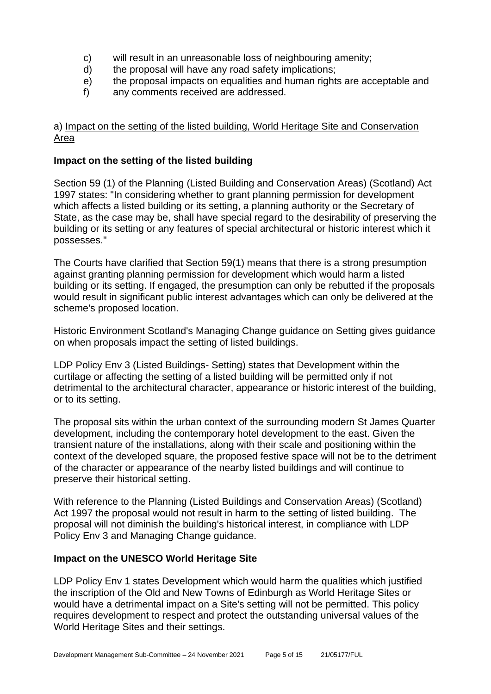- c) will result in an unreasonable loss of neighbouring amenity;
- d) the proposal will have any road safety implications;
- e) the proposal impacts on equalities and human rights are acceptable and
- f) any comments received are addressed.

#### a) Impact on the setting of the listed building, World Heritage Site and Conservation Area

#### **Impact on the setting of the listed building**

Section 59 (1) of the Planning (Listed Building and Conservation Areas) (Scotland) Act 1997 states: "In considering whether to grant planning permission for development which affects a listed building or its setting, a planning authority or the Secretary of State, as the case may be, shall have special regard to the desirability of preserving the building or its setting or any features of special architectural or historic interest which it possesses."

The Courts have clarified that Section 59(1) means that there is a strong presumption against granting planning permission for development which would harm a listed building or its setting. If engaged, the presumption can only be rebutted if the proposals would result in significant public interest advantages which can only be delivered at the scheme's proposed location.

Historic Environment Scotland's Managing Change guidance on Setting gives guidance on when proposals impact the setting of listed buildings.

LDP Policy Env 3 (Listed Buildings- Setting) states that Development within the curtilage or affecting the setting of a listed building will be permitted only if not detrimental to the architectural character, appearance or historic interest of the building, or to its setting.

The proposal sits within the urban context of the surrounding modern St James Quarter development, including the contemporary hotel development to the east. Given the transient nature of the installations, along with their scale and positioning within the context of the developed square, the proposed festive space will not be to the detriment of the character or appearance of the nearby listed buildings and will continue to preserve their historical setting.

With reference to the Planning (Listed Buildings and Conservation Areas) (Scotland) Act 1997 the proposal would not result in harm to the setting of listed building. The proposal will not diminish the building's historical interest, in compliance with LDP Policy Env 3 and Managing Change guidance.

#### **Impact on the UNESCO World Heritage Site**

LDP Policy Env 1 states Development which would harm the qualities which justified the inscription of the Old and New Towns of Edinburgh as World Heritage Sites or would have a detrimental impact on a Site's setting will not be permitted. This policy requires development to respect and protect the outstanding universal values of the World Heritage Sites and their settings.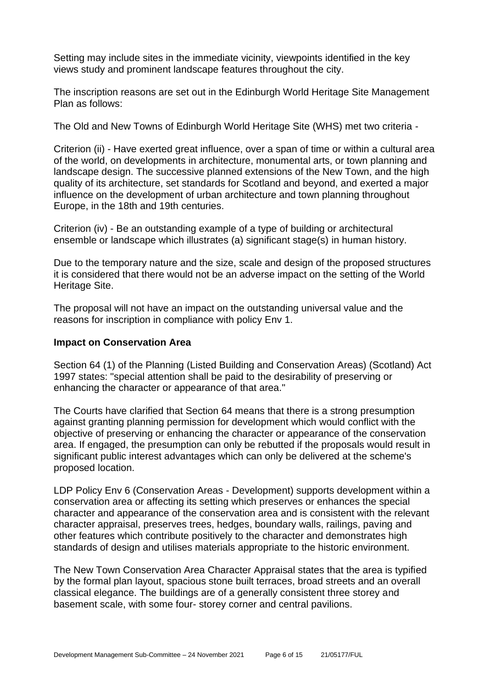Setting may include sites in the immediate vicinity, viewpoints identified in the key views study and prominent landscape features throughout the city.

The inscription reasons are set out in the Edinburgh World Heritage Site Management Plan as follows:

The Old and New Towns of Edinburgh World Heritage Site (WHS) met two criteria -

Criterion (ii) - Have exerted great influence, over a span of time or within a cultural area of the world, on developments in architecture, monumental arts, or town planning and landscape design. The successive planned extensions of the New Town, and the high quality of its architecture, set standards for Scotland and beyond, and exerted a major influence on the development of urban architecture and town planning throughout Europe, in the 18th and 19th centuries.

Criterion (iv) - Be an outstanding example of a type of building or architectural ensemble or landscape which illustrates (a) significant stage(s) in human history.

Due to the temporary nature and the size, scale and design of the proposed structures it is considered that there would not be an adverse impact on the setting of the World Heritage Site.

The proposal will not have an impact on the outstanding universal value and the reasons for inscription in compliance with policy Env 1.

#### **Impact on Conservation Area**

Section 64 (1) of the Planning (Listed Building and Conservation Areas) (Scotland) Act 1997 states: "special attention shall be paid to the desirability of preserving or enhancing the character or appearance of that area."

The Courts have clarified that Section 64 means that there is a strong presumption against granting planning permission for development which would conflict with the objective of preserving or enhancing the character or appearance of the conservation area. If engaged, the presumption can only be rebutted if the proposals would result in significant public interest advantages which can only be delivered at the scheme's proposed location.

LDP Policy Env 6 (Conservation Areas - Development) supports development within a conservation area or affecting its setting which preserves or enhances the special character and appearance of the conservation area and is consistent with the relevant character appraisal, preserves trees, hedges, boundary walls, railings, paving and other features which contribute positively to the character and demonstrates high standards of design and utilises materials appropriate to the historic environment.

The New Town Conservation Area Character Appraisal states that the area is typified by the formal plan layout, spacious stone built terraces, broad streets and an overall classical elegance. The buildings are of a generally consistent three storey and basement scale, with some four- storey corner and central pavilions.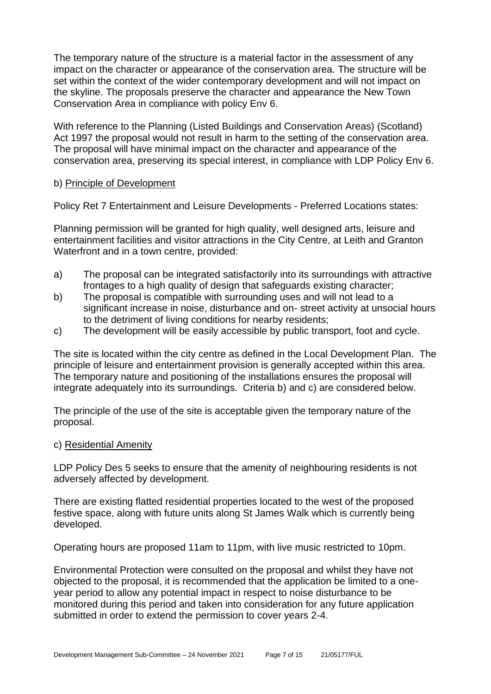The temporary nature of the structure is a material factor in the assessment of any impact on the character or appearance of the conservation area. The structure will be set within the context of the wider contemporary development and will not impact on the skyline. The proposals preserve the character and appearance the New Town Conservation Area in compliance with policy Env 6.

With reference to the Planning (Listed Buildings and Conservation Areas) (Scotland) Act 1997 the proposal would not result in harm to the setting of the conservation area. The proposal will have minimal impact on the character and appearance of the conservation area, preserving its special interest, in compliance with LDP Policy Env 6.

#### b) Principle of Development

Policy Ret 7 Entertainment and Leisure Developments - Preferred Locations states:

Planning permission will be granted for high quality, well designed arts, leisure and entertainment facilities and visitor attractions in the City Centre, at Leith and Granton Waterfront and in a town centre, provided:

- a) The proposal can be integrated satisfactorily into its surroundings with attractive frontages to a high quality of design that safeguards existing character;
- b) The proposal is compatible with surrounding uses and will not lead to a significant increase in noise, disturbance and on- street activity at unsocial hours to the detriment of living conditions for nearby residents;
- c) The development will be easily accessible by public transport, foot and cycle.

The site is located within the city centre as defined in the Local Development Plan. The principle of leisure and entertainment provision is generally accepted within this area. The temporary nature and positioning of the installations ensures the proposal will integrate adequately into its surroundings. Criteria b) and c) are considered below.

The principle of the use of the site is acceptable given the temporary nature of the proposal.

#### c) Residential Amenity

LDP Policy Des 5 seeks to ensure that the amenity of neighbouring residents is not adversely affected by development.

There are existing flatted residential properties located to the west of the proposed festive space, along with future units along St James Walk which is currently being developed.

Operating hours are proposed 11am to 11pm, with live music restricted to 10pm.

Environmental Protection were consulted on the proposal and whilst they have not objected to the proposal, it is recommended that the application be limited to a oneyear period to allow any potential impact in respect to noise disturbance to be monitored during this period and taken into consideration for any future application submitted in order to extend the permission to cover years 2-4.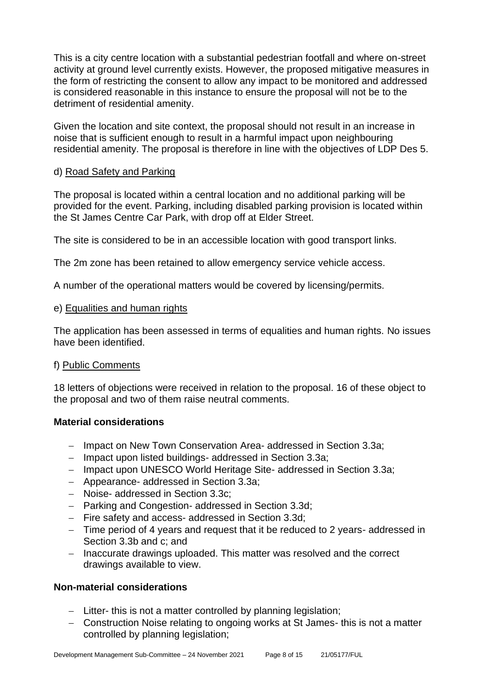This is a city centre location with a substantial pedestrian footfall and where on-street activity at ground level currently exists. However, the proposed mitigative measures in the form of restricting the consent to allow any impact to be monitored and addressed is considered reasonable in this instance to ensure the proposal will not be to the detriment of residential amenity.

Given the location and site context, the proposal should not result in an increase in noise that is sufficient enough to result in a harmful impact upon neighbouring residential amenity. The proposal is therefore in line with the objectives of LDP Des 5.

#### d) Road Safety and Parking

The proposal is located within a central location and no additional parking will be provided for the event. Parking, including disabled parking provision is located within the St James Centre Car Park, with drop off at Elder Street.

The site is considered to be in an accessible location with good transport links.

The 2m zone has been retained to allow emergency service vehicle access.

A number of the operational matters would be covered by licensing/permits.

#### e) Equalities and human rights

The application has been assessed in terms of equalities and human rights. No issues have been identified.

#### f) Public Comments

18 letters of objections were received in relation to the proposal. 16 of these object to the proposal and two of them raise neutral comments.

#### **Material considerations**

- − Impact on New Town Conservation Area- addressed in Section 3.3a;
- − Impact upon listed buildings- addressed in Section 3.3a;
- − Impact upon UNESCO World Heritage Site- addressed in Section 3.3a;
- − Appearance- addressed in Section 3.3a;
- − Noise- addressed in Section 3.3c;
- − Parking and Congestion- addressed in Section 3.3d;
- − Fire safety and access- addressed in Section 3.3d;
- − Time period of 4 years and request that it be reduced to 2 years- addressed in Section 3.3b and c; and
- − Inaccurate drawings uploaded. This matter was resolved and the correct drawings available to view.

#### **Non-material considerations**

- − Litter- this is not a matter controlled by planning legislation;
- − Construction Noise relating to ongoing works at St James- this is not a matter controlled by planning legislation;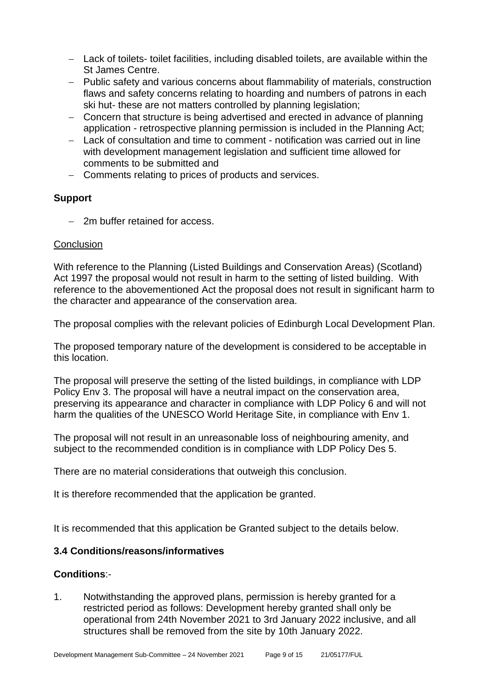- − Lack of toilets- toilet facilities, including disabled toilets, are available within the St James Centre.
- − Public safety and various concerns about flammability of materials, construction flaws and safety concerns relating to hoarding and numbers of patrons in each ski hut- these are not matters controlled by planning legislation;
- − Concern that structure is being advertised and erected in advance of planning application - retrospective planning permission is included in the Planning Act;
- − Lack of consultation and time to comment notification was carried out in line with development management legislation and sufficient time allowed for comments to be submitted and
- − Comments relating to prices of products and services.

#### **Support**

− 2m buffer retained for access.

#### **Conclusion**

With reference to the Planning (Listed Buildings and Conservation Areas) (Scotland) Act 1997 the proposal would not result in harm to the setting of listed building. With reference to the abovementioned Act the proposal does not result in significant harm to the character and appearance of the conservation area.

The proposal complies with the relevant policies of Edinburgh Local Development Plan.

The proposed temporary nature of the development is considered to be acceptable in this location.

The proposal will preserve the setting of the listed buildings, in compliance with LDP Policy Env 3. The proposal will have a neutral impact on the conservation area, preserving its appearance and character in compliance with LDP Policy 6 and will not harm the qualities of the UNESCO World Heritage Site, in compliance with Env 1.

The proposal will not result in an unreasonable loss of neighbouring amenity, and subject to the recommended condition is in compliance with LDP Policy Des 5.

There are no material considerations that outweigh this conclusion.

It is therefore recommended that the application be granted.

It is recommended that this application be Granted subject to the details below.

#### **3.4 Conditions/reasons/informatives**

#### **Conditions**:-

1. Notwithstanding the approved plans, permission is hereby granted for a restricted period as follows: Development hereby granted shall only be operational from 24th November 2021 to 3rd January 2022 inclusive, and all structures shall be removed from the site by 10th January 2022.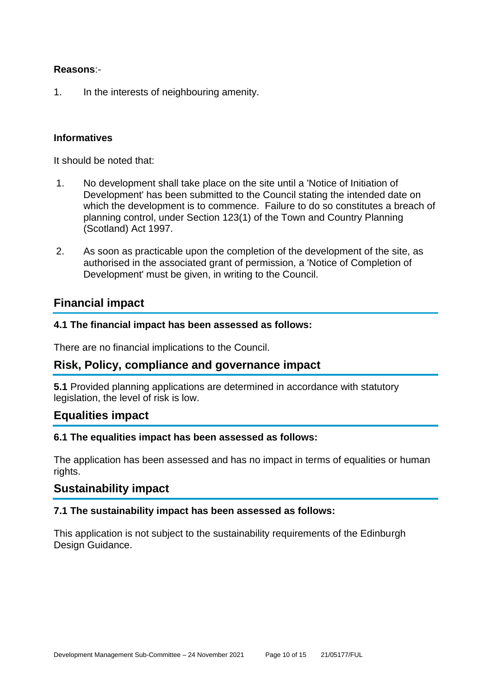#### **Reasons**:-

1. In the interests of neighbouring amenity.

#### **Informatives**

It should be noted that:

- 1. No development shall take place on the site until a 'Notice of Initiation of Development' has been submitted to the Council stating the intended date on which the development is to commence. Failure to do so constitutes a breach of planning control, under Section 123(1) of the Town and Country Planning (Scotland) Act 1997.
- 2. As soon as practicable upon the completion of the development of the site, as authorised in the associated grant of permission, a 'Notice of Completion of Development' must be given, in writing to the Council.

#### **Financial impact**

#### **4.1 The financial impact has been assessed as follows:**

There are no financial implications to the Council.

#### **Risk, Policy, compliance and governance impact**

**5.1** Provided planning applications are determined in accordance with statutory legislation, the level of risk is low.

#### **Equalities impact**

#### **6.1 The equalities impact has been assessed as follows:**

The application has been assessed and has no impact in terms of equalities or human rights.

#### **Sustainability impact**

#### **7.1 The sustainability impact has been assessed as follows:**

This application is not subject to the sustainability requirements of the Edinburgh Design Guidance.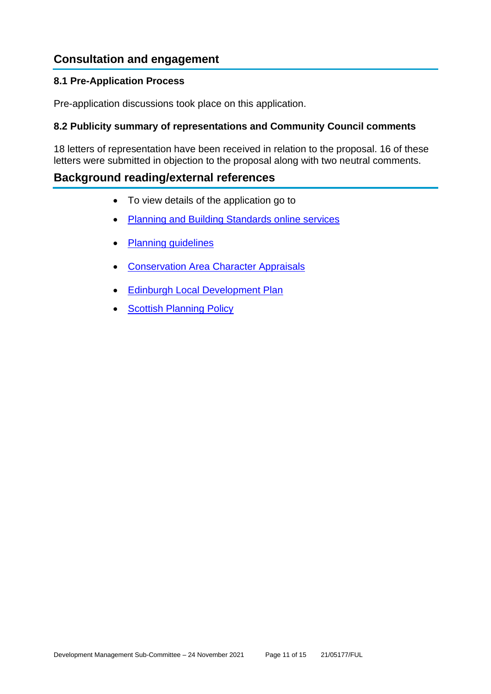# **Consultation and engagement**

#### **8.1 Pre-Application Process**

Pre-application discussions took place on this application.

#### **8.2 Publicity summary of representations and Community Council comments**

18 letters of representation have been received in relation to the proposal. 16 of these letters were submitted in objection to the proposal along with two neutral comments.

#### **Background reading/external references**

- To view details of the application go to
- [Planning and Building Standards online services](https://citydev-portal.edinburgh.gov.uk/idoxpa-web/search.do?action=simple&searchType=Application)
- [Planning guidelines](http://www.edinburgh.gov.uk/planningguidelines)
- [Conservation Area Character Appraisals](http://www.edinburgh.gov.uk/characterappraisals)
- [Edinburgh Local Development Plan](http://www.edinburgh.gov.uk/localdevelopmentplan)
- **[Scottish Planning](http://www.scotland.gov.uk/Topics/Built-Environment/planning/Policy) Policy**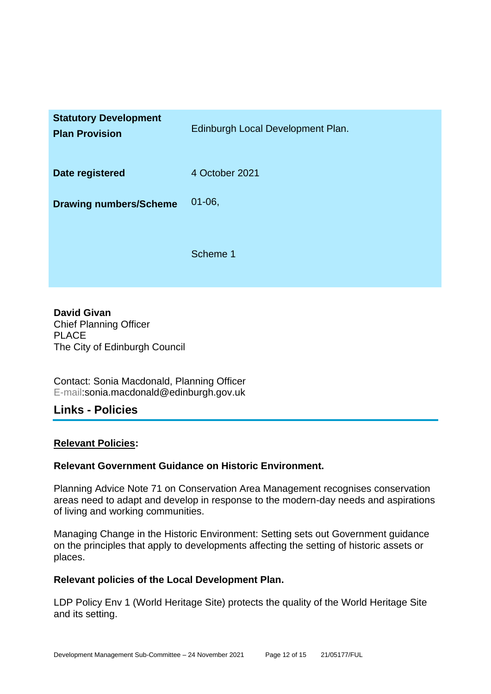| <b>Statutory Development</b><br><b>Plan Provision</b> | Edinburgh Local Development Plan. |
|-------------------------------------------------------|-----------------------------------|
| Date registered                                       | 4 October 2021                    |
| <b>Drawing numbers/Scheme</b>                         | $01 - 06$                         |
|                                                       | Scheme 1                          |

**David Givan** Chief Planning Officer PLACE The City of Edinburgh Council

Contact: Sonia Macdonald, Planning Officer E-mail:sonia.macdonald@edinburgh.gov.uk

#### **Links - Policies**

#### **Relevant Policies:**

#### **Relevant Government Guidance on Historic Environment.**

Planning Advice Note 71 on Conservation Area Management recognises conservation areas need to adapt and develop in response to the modern-day needs and aspirations of living and working communities.

Managing Change in the Historic Environment: Setting sets out Government guidance on the principles that apply to developments affecting the setting of historic assets or places.

#### **Relevant policies of the Local Development Plan.**

LDP Policy Env 1 (World Heritage Site) protects the quality of the World Heritage Site and its setting.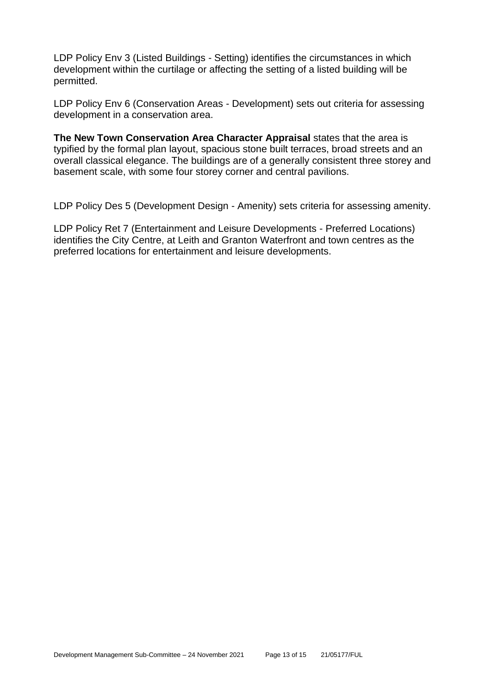LDP Policy Env 3 (Listed Buildings - Setting) identifies the circumstances in which development within the curtilage or affecting the setting of a listed building will be permitted.

LDP Policy Env 6 (Conservation Areas - Development) sets out criteria for assessing development in a conservation area.

**The New Town Conservation Area Character Appraisal** states that the area is typified by the formal plan layout, spacious stone built terraces, broad streets and an overall classical elegance. The buildings are of a generally consistent three storey and basement scale, with some four storey corner and central pavilions.

LDP Policy Des 5 (Development Design - Amenity) sets criteria for assessing amenity.

LDP Policy Ret 7 (Entertainment and Leisure Developments - Preferred Locations) identifies the City Centre, at Leith and Granton Waterfront and town centres as the preferred locations for entertainment and leisure developments.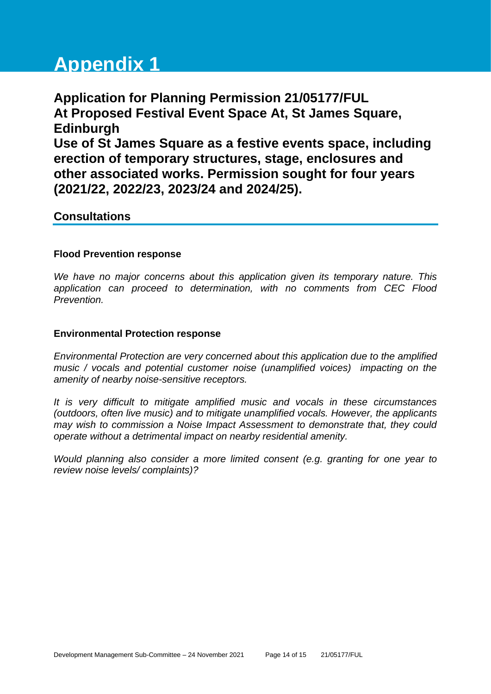# **Appendix 1**

**Application for Planning Permission 21/05177/FUL At Proposed Festival Event Space At, St James Square, Edinburgh Use of St James Square as a festive events space, including erection of temporary structures, stage, enclosures and other associated works. Permission sought for four years (2021/22, 2022/23, 2023/24 and 2024/25).**

#### **Consultations**

#### **Flood Prevention response**

*We have no major concerns about this application given its temporary nature. This application can proceed to determination, with no comments from CEC Flood Prevention.*

#### **Environmental Protection response**

*Environmental Protection are very concerned about this application due to the amplified music / vocals and potential customer noise (unamplified voices) impacting on the amenity of nearby noise-sensitive receptors.* 

*It is very difficult to mitigate amplified music and vocals in these circumstances (outdoors, often live music) and to mitigate unamplified vocals. However, the applicants may wish to commission a Noise Impact Assessment to demonstrate that, they could operate without a detrimental impact on nearby residential amenity.*

*Would planning also consider a more limited consent (e.g. granting for one year to review noise levels/ complaints)?*